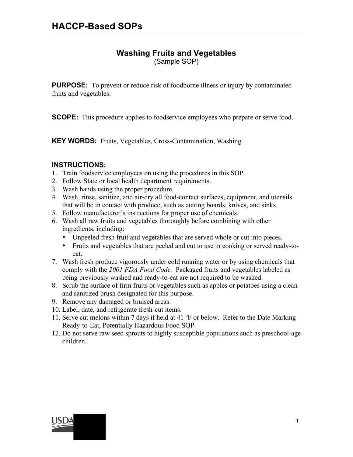# **Washing Fruits and Vegetables**

(Sample SOP)

**PURPOSE:** To prevent or reduce risk of foodborne illness or injury by contaminated fruits and vegetables.

**SCOPE:** This procedure applies to foodservice employees who prepare or serve food.

**KEY WORDS:** Fruits, Vegetables, Cross-Contamination, Washing

### **INSTRUCTIONS:**

- 1. Train foodservice employees on using the procedures in this SOP.
- 2. Follow State or local health department requirements.
- 3. Wash hands using the proper procedure.
- 4. Wash, rinse, sanitize, and air-dry all food-contact surfaces, equipment, and utensils that will be in contact with produce, such as cutting boards, knives, and sinks.
- 5. Follow manufacturer's instructions for proper use of chemicals.
- 6. Wash all raw fruits and vegetables thoroughly before combining with other ingredients, including:
	- Unpeeled fresh fruit and vegetables that are served whole or cut into pieces.
	- Fruits and vegetables that are peeled and cut to use in cooking or served ready-toeat.
- 7. Wash fresh produce vigorously under cold running water or by using chemicals that comply with the *2001 FDA Food Code.* Packaged fruits and vegetables labeled as being previously washed and ready-to-eat are not required to be washed.
- 8. Scrub the surface of firm fruits or vegetables such as apples or potatoes using a clean and sanitized brush designated for this purpose.
- 9. Remove any damaged or bruised areas.
- 10. Label, date, and refrigerate fresh-cut items.
- 11. Serve cut melons within 7 days if held at 41 ºF or below. Refer to the Date Marking Ready-to-Eat, Potentially Hazardous Food SOP.
- 12. Do not serve raw seed sprouts to highly susceptible populations such as preschool-age children.